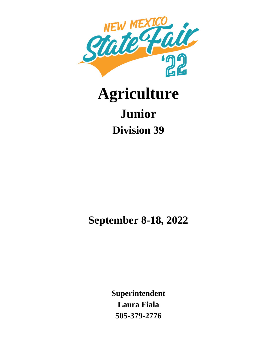

# **Agriculture Junior Division 39**

**September 8-18, 2022**

**Superintendent Laura Fiala 505-379-2776**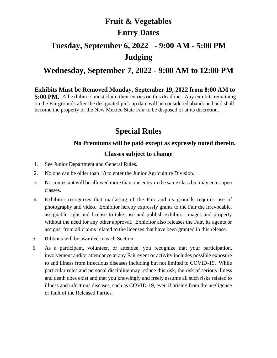# **Fruit & Vegetables Entry Dates**

# **Tuesday, September 6, 2022 - 9:00 AM - 5:00 PM Judging**

#### **Wednesday, September 7, 2022 - 9:00 AM to 12:00 PM**

**Exhibits Must be Removed Monday, September 19, 2022 from 8:00 AM to 5:00 PM.** All exhibitors must claim their entries on this deadline. Any exhibits remaining on the Fairgrounds after the designated pick up date will be considered abandoned and shall become the property of the New Mexico State Fair to be disposed of at its discretion.

#### **Special Rules**

#### **No Premiums will be paid except as expressly noted therein.**

#### **Classes subject to change**

- 1. See Junior Department and General Rules.
- 2. No one can be older than 18 to enter the Junior Agriculture Division.
- 3. No contestant will be allowed more than one entry in the same class but may enter open classes.
- 4. Exhibitor recognizes that marketing of the Fair and its grounds requires use of photography and video. Exhibitor hereby expressly grants to the Fair the irrevocable, assignable right and license to take, use and publish exhibitor images and property without the need for any other approval. Exhibitor also releases the Fair, its agents or assigns, from all claims related to the licenses that have been granted in this release.
- 5. Ribbons will be awarded in each Section.
- 6. As a participant, volunteer, or attendee, you recognize that your participation, involvement and/or attendance at any Fair event or activity includes possible exposure to and illness from infectious diseases including but not limited to COVID-19. While particular rules and personal discipline may reduce this risk, the risk of serious illness and death does exist and that you knowingly and freely assume all such risks related to illness and infectious diseases, such as COVID-19, even if arising from the negligence or fault of the Released Parties.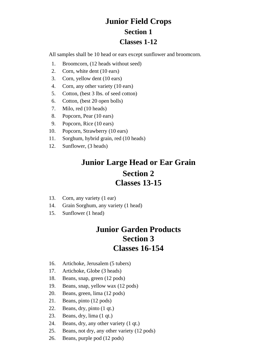### **Junior Field Crops Section 1 Classes 1-12**

All samples shall be 10 head or ears except sunflower and broomcorn.

- 1. Broomcorn, (12 heads without seed)
- 2. Corn, white dent (10 ears)
- 3. Corn, yellow dent (10 ears)
- 4. Corn, any other variety (10 ears)
- 5. Cotton, (best 3 lbs. of seed cotton)
- 6. Cotton, (best 20 open bolls)
- 7. Milo, red (10 heads)
- 8. Popcorn, Pear (10 ears)
- 9. Popcorn, Rice (10 ears)
- 10. Popcorn, Strawberry (10 ears)
- 11. Sorghum, hybrid grain, red (10 heads)
- 12. Sunflower, (3 heads)

## **Junior Large Head or Ear Grain Section 2 Classes 13-15**

- 13. Corn, any variety (1 ear)
- 14. Grain Sorghum, any variety (1 head)
- 15. Sunflower (1 head)

#### **Junior Garden Products Section 3 Classes 16-154**

- 16. Artichoke, Jerusalem (5 tubers)
- 17. Artichoke, Globe (3 heads)
- 18. Beans, snap, green (12 pods)
- 19. Beans, snap, yellow wax (12 pods)
- 20. Beans, green, lima (12 pods)
- 21. Beans, pinto (12 pods)
- 22. Beans, dry, pinto (1 qt.)
- 23. Beans, dry, lima (1 qt.)
- 24. Beans, dry, any other variety (1 qt.)
- 25. Beans, not dry, any other variety (12 pods)
- 26. Beans, purple pod (12 pods)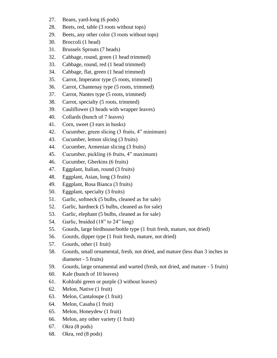- 27. Beans, yard-long (6 pods)
- 28. Beets, red, table (3 roots without tops)
- 29. Beets, any other color (3 roots without tops)
- 30. Broccoli (1 head)
- 31. Brussels Sprouts (7 heads)
- 32. Cabbage, round, green (1 head trimmed)
- 33. Cabbage, round, red (1 head trimmed)
- 34. Cabbage, flat, green (1 head trimmed)
- 35. Carrot, Imperator type (5 roots, trimmed)
- 36. Carrot, Chantenay type (5 roots, trimmed)
- 37. Carrot, Nantes type (5 roots, trimmed)
- 38. Carrot, specialty (5 roots, trimmed)
- 39. Cauliflower (3 heads with wrapper leaves)
- 40. Collards (bunch of 7 leaves)
- 41. Corn, sweet (3 ears in husks)
- 42. Cucumber, green slicing (3 fruits, 4" minimum)
- 43. Cucumber, lemon slicing (3 fruits)
- 44. Cucumber, Armenian slicing (3 fruits)
- 45. Cucumber, pickling (6 fruits, 4" maximum)
- 46. Cucumber, Gherkins (6 fruits)
- 47. Eggplant, Italian, round (3 fruits)
- 48. Eggplant, Asian, long (3 fruits)
- 49. Eggplant, Rosa Bianca (3 fruits)
- 50. Eggplant, specialty (3 fruits)
- 51. Garlic, softneck (5 bulbs, cleaned as for sale)
- 52. Garlic, hardneck (5 bulbs, cleaned as for sale)
- 53. Garlic, elephant (5 bulbs, cleaned as for sale)
- 54. Garlic, braided (18" to 24" long)
- 55. Gourds, large birdhouse/bottle type (1 fruit fresh, mature, not dried)
- 56. Gourds, dipper type (1 fruit fresh, mature, not dried)
- 57. Gourds, other (1 fruit)
- 58. Gourds, small ornamental, fresh, not dried, and mature (less than 3 inches in diameter - 5 fruits)
- 59. Gourds, large ornamental and warted (fresh, not dried, and mature 5 fruits)
- 60. Kale (bunch of 10 leaves)
- 61. Kohlrabi green or purple (3 without leaves)
- 62. Melon, Native (1 fruit)
- 63. Melon, Cantaloupe (1 fruit)
- 64. Melon, Casaba (1 fruit)
- 65. Melon, Honeydew (1 fruit)
- 66. Melon, any other variety (1 fruit)
- 67. Okra (8 pods)
- 68. Okra, red (8 pods)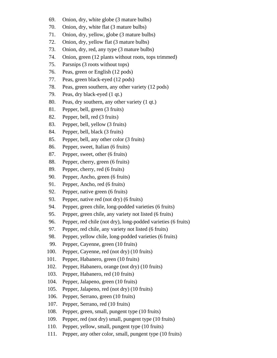- 69. Onion, dry, white globe (3 mature bulbs)
- 70. Onion, dry, white flat (3 mature bulbs)
- 71. Onion, dry, yellow, globe (3 mature bulbs)
- 72. Onion, dry, yellow flat (3 mature bulbs)
- 73. Onion, dry, red, any type (3 mature bulbs)
- 74. Onion, green (12 plants without roots, tops trimmed)
- 75. Parsnips (3 roots without tops)
- 76. Peas, green or English (12 pods)
- 77. Peas, green black-eyed (12 pods)
- 78. Peas, green southern, any other variety (12 pods)
- 79. Peas, dry black-eyed (1 qt.)
- 80. Peas, dry southern, any other variety (1 qt.)
- 81. Pepper, bell, green (3 fruits)
- 82. Pepper, bell, red (3 fruits)
- 83. Pepper, bell, yellow (3 fruits)
- 84. Pepper, bell, black (3 fruits)
- 85. Pepper, bell, any other color (3 fruits)
- 86. Pepper, sweet, Italian (6 fruits)
- 87. Pepper, sweet, other (6 fruits)
- 88. Pepper, cherry, green (6 fruits)
- 89. Pepper, cherry, red (6 fruits)
- 90. Pepper, Ancho, green (6 fruits)
- 91. Pepper, Ancho, red (6 fruits)
- 92. Pepper, native green (6 fruits)
- 93. Pepper, native red (not dry) (6 fruits)
- 94. Pepper, green chile, long-podded varieties (6 fruits)
- 95. Pepper, green chile, any variety not listed (6 fruits)
- 96. Pepper, red chile (not dry), long-podded varieties (6 fruits)
- 97. Pepper, red chile, any variety not listed (6 fruits)
- 98. Pepper, yellow chile, long-podded varieties (6 fruits)
- 99. Pepper, Cayenne, green (10 fruits)
- 100. Pepper, Cayenne, red (not dry) (10 fruits)
- 101. Pepper, Habanero, green (10 fruits)
- 102. Pepper, Habanero, orange (not dry) (10 fruits)
- 103. Pepper, Habanero, red (10 fruits)
- 104. Pepper, Jalapeno, green (10 fruits)
- 105. Pepper, Jalapeno, red (not dry) (10 fruits)
- 106. Pepper, Serrano, green (10 fruits)
- 107. Pepper, Serrano, red (10 fruits)
- 108. Pepper, green, small, pungent type (10 fruits)
- 109. Pepper, red (not dry) small, pungent type (10 fruits)
- 110. Pepper, yellow, small, pungent type (10 fruits)
- 111. Pepper, any other color, small, pungent type (10 fruits)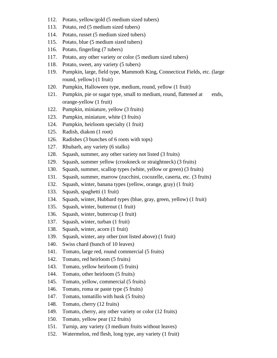- 112. Potato, yellow/gold (5 medium sized tubers)
- 113. Potato, red (5 medium sized tubers)
- 114. Potato, russet (5 medium sized tubers)
- 115. Potato, blue (5 medium sized tubers)
- 116. Potato, fingerling (7 tubers)
- 117. Potato, any other variety or color (5 medium sized tubers)
- 118. Potato, sweet, any variety (5 tubers)
- 119. Pumpkin, large, field type, Mammoth King, Connecticut Fields, etc. (large round, yellow) (1 fruit)
- 120. Pumpkin, Halloween type, medium, round, yellow (1 fruit)
- 121. Pumpkin, pie or sugar type, small to medium, round, flattened at ends, orange-yellow (1 fruit)
- 122. Pumpkin, miniature, yellow (3 fruits)
- 123. Pumpkin, miniature, white (3 fruits)
- 124. Pumpkin, heirloom specialty (1 fruit)
- 125. Radish, diakon (1 root)
- 126. Radishes (3 bunches of 6 roots with tops)
- 127. Rhubarb, any variety (6 stalks)
- 128. Squash, summer, any other variety not listed (3 fruits)
- 129. Squash, summer yellow (crookneck or straightneck) (3 fruits)
- 130. Squash, summer, scallop types (white, yellow or green) (3 fruits)
- 131. Squash, summer, marrow (zucchini, cocozelle, caserta, etc. (3 fruits)
- 132. Squash, winter, banana types (yellow, orange, gray) (1 fruit)
- 133. Squash, spaghetti (1 fruit)
- 134. Squash, winter, Hubbard types (blue, gray, green, yellow) (1 fruit)
- 135. Squash, winter, butternut (1 fruit)
- 136. Squash, winter, buttercup (1 fruit)
- 137. Squash, winter, turban (1 fruit)
- 138. Squash, winter, acorn (1 fruit)
- 139. Squash, winter, any other (not listed above) (1 fruit)
- 140. Swiss chard (bunch of 10 leaves)
- 141. Tomato, large red, round commercial (5 fruits)
- 142. Tomato, red heirloom (5 fruits)
- 143. Tomato, yellow heirloom (5 fruits)
- 144. Tomato, other heirloom (5 fruits)
- 145. Tomato, yellow, commercial (5 fruits)
- 146. Tomato, roma or paste type (5 fruits)
- 147. Tomato, tomatillo with husk (5 fruits)
- 148. Tomato, cherry (12 fruits)
- 149. Tomato, cherry, any other variety or color (12 fruits)
- 150. Tomato, yellow pear (12 fruits)
- 151. Turnip, any variety (3 medium fruits without leaves)
- 152. Watermelon, red flesh, long type, any variety (1 fruit)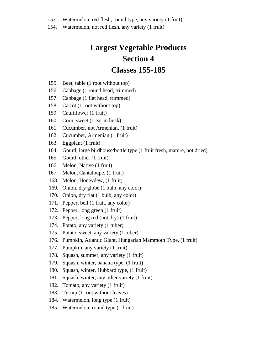- 153. Watermelon, red flesh, round type, any variety (1 fruit)
- 154. Watermelon, not red flesh, any variety (1 fruit)

## **Largest Vegetable Products Section 4 Classes 155-185**

- 155. Beet, table (1 root without top)
- 156. Cabbage (1 round head, trimmed)
- 157. Cabbage (1 flat head, trimmed)
- 158. Carrot (1 root without top)
- 159. Cauliflower (1 fruit)
- 160. Corn, sweet (1 ear in husk)
- 161. Cucumber, not Armenian, (1 fruit)
- 162. Cucumber, Armenian (1 fruit)
- 163. Eggplant (1 fruit)
- 164. Gourd, large birdhouse/bottle type (1 fruit fresh, mature, not dried)
- 165. Gourd, other (1 fruit)
- 166. Melon, Native (1 fruit)
- 167. Melon, Cantaloupe, (1 fruit)
- 168. Melon, Honeydew, (1 fruit)
- 169. Onion, dry globe (1 bulb, any color)
- 170. Onion, dry flat (1 bulb, any color)
- 171. Pepper, bell (1 fruit, any color)
- 172. Pepper, long green (1 fruit)
- 173. Pepper, long red (not dry) (1 fruit)
- 174. Potato, any variety (1 tuber)
- 175. Potato, sweet, any variety (1 tuber)
- 176. Pumpkin, Atlantic Giant, Hungarian Mammoth Type, (1 fruit)
- 177. Pumpkin, any variety (1 fruit)
- 178. Squash, summer, any variety (1 fruit)
- 179. Squash, winter, banana type, (1 fruit)
- 180. Squash, winter, Hubbard type, (1 fruit)
- 181. Squash, winter, any other variety (1 fruit)
- 182. Tomato, any variety (1 fruit)
- 183. Turnip (1 root without leaves)
- 184. Watermelon, long type (1 fruit)
- 185. Watermelon, round type (1 fruit)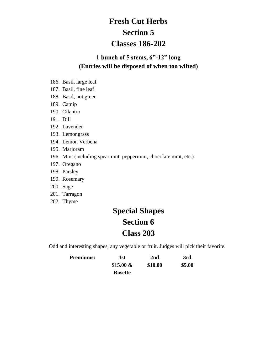# **Fresh Cut Herbs Section 5 Classes 186-202**

#### **1 bunch of 5 stems, 6"-12" long (Entries will be disposed of when too wilted)**

- 186. Basil, large leaf
- 187. Basil, fine leaf
- 188. Basil, not green
- 189. Catnip
- 190. Cilantro
- 191. Dill
- 192. Lavender
- 193. Lemongrass
- 194. Lemon Verbena
- 195. Marjoram
- 196. Mint (including spearmint, peppermint, chocolate mint, etc.)
- 197. Oregano
- 198. Parsley
- 199. Rosemary
- 200. Sage
- 201. Tarragon
- 202. Thyme

# **Special Shapes Section 6 Class 203**

Odd and interesting shapes, any vegetable or fruit. Judges will pick their favorite.

| <b>Premiums:</b> | 1st            | 2nd     | 3rd    |
|------------------|----------------|---------|--------|
|                  | \$15.00 $\&$   | \$10.00 | \$5.00 |
|                  | <b>Rosette</b> |         |        |